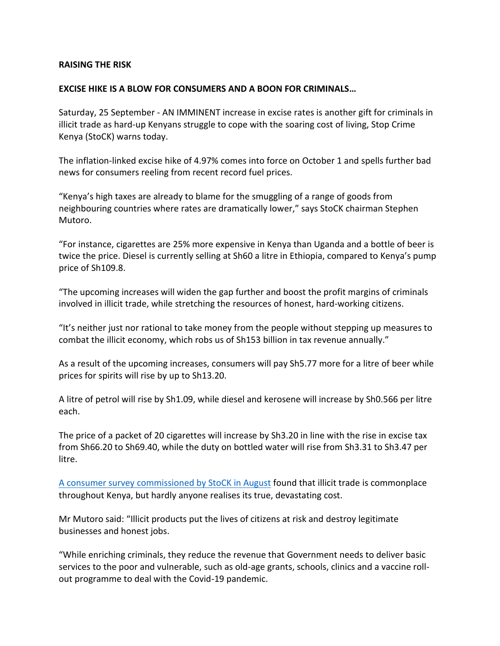## **RAISING THE RISK**

## **EXCISE HIKE IS A BLOW FOR CONSUMERS AND A BOON FOR CRIMINALS…**

Saturday, 25 September - AN IMMINENT increase in excise rates is another gift for criminals in illicit trade as hard-up Kenyans struggle to cope with the soaring cost of living, Stop Crime Kenya (StoCK) warns today.

The inflation-linked excise hike of 4.97% comes into force on October 1 and spells further bad news for consumers reeling from recent record fuel prices.

"Kenya's high taxes are already to blame for the smuggling of a range of goods from neighbouring countries where rates are dramatically lower," says StoCK chairman Stephen Mutoro.

"For instance, cigarettes are 25% more expensive in Kenya than Uganda and a bottle of beer is twice the price. Diesel is currently selling at Sh60 a litre in Ethiopia, compared to Kenya's pump price of Sh109.8.

"The upcoming increases will widen the gap further and boost the profit margins of criminals involved in illicit trade, while stretching the resources of honest, hard-working citizens.

"It's neither just nor rational to take money from the people without stepping up measures to combat the illicit economy, which robs us of Sh153 billion in tax revenue annually."

As a result of the upcoming increases, consumers will pay Sh5.77 more for a litre of beer while prices for spirits will rise by up to Sh13.20.

A litre of petrol will rise by Sh1.09, while diesel and kerosene will increase by Sh0.566 per litre each.

The price of a packet of 20 cigarettes will increase by Sh3.20 in line with the rise in excise tax from Sh66.20 to Sh69.40, while the duty on bottled water will rise from Sh3.31 to Sh3.47 per litre.

[A consumer survey commissioned by StoCK in August](https://stopcrimekenya.co.ke/survey.pdf) found that illicit trade is commonplace throughout Kenya, but hardly anyone realises its true, devastating cost.

Mr Mutoro said: "Illicit products put the lives of citizens at risk and destroy legitimate businesses and honest jobs.

"While enriching criminals, they reduce the revenue that Government needs to deliver basic services to the poor and vulnerable, such as old-age grants, schools, clinics and a vaccine rollout programme to deal with the Covid-19 pandemic.